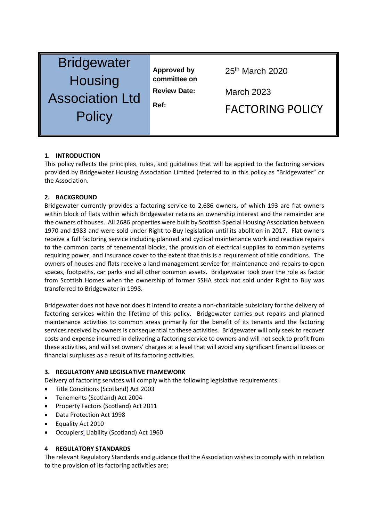| <b>Bridgewater</b>     |
|------------------------|
| <b>Housing</b>         |
| <b>Association Ltd</b> |
| Policy                 |

**Approved by committee on** 

25th March 2020

**Review Date:** March 2023

Ref: **FACTORING POLICY** 

# **1. INTRODUCTION**

This policy reflects the principles, rules, and guidelines that will be applied to the factoring services provided by Bridgewater Housing Association Limited (referred to in this policy as "Bridgewater" or the Association.

### **2. BACKGROUND**

Bridgewater currently provides a factoring service to 2,686 owners, of which 193 are flat owners within block of flats within which Bridgewater retains an ownership interest and the remainder are the owners of houses. All 2686 properties were built by Scottish Special Housing Association between 1970 and 1983 and were sold under Right to Buy legislation until its abolition in 2017. Flat owners receive a full factoring service including planned and cyclical maintenance work and reactive repairs to the common parts of tenemental blocks, the provision of electrical supplies to common systems requiring power, and insurance cover to the extent that this is a requirement of title conditions. The owners of houses and flats receive a land management service for maintenance and repairs to open spaces, footpaths, car parks and all other common assets. Bridgewater took over the role as factor from Scottish Homes when the ownership of former SSHA stock not sold under Right to Buy was transferred to Bridgewater in 1998.

Bridgewater does not have nor does it intend to create a non-charitable subsidiary for the delivery of factoring services within the lifetime of this policy. Bridgewater carries out repairs and planned maintenance activities to common areas primarily for the benefit of its tenants and the factoring services received by owners is consequential to these activities. Bridgewater will only seek to recover costs and expense incurred in delivering a factoring service to owners and will not seek to profit from these activities, and will set owners' charges at a level that will avoid any significant financial losses or financial surpluses as a result of its factoring activities.

#### **3. REGULATORY AND LEGISLATIVE FRAMEWORK**

Delivery of factoring services will comply with the following legislative requirements:

- Title Conditions (Scotland) Act 2003
- Tenements (Scotland) Act 2004
- Property Factors (Scotland) Act 2011
- Data Protection Act 1998
- Equality Act 2010
- Occupiers' Liability (Scotland) Act 1960

# **4 REGULATORY STANDARDS**

The relevant Regulatory Standards and guidance that the Association wishes to comply with in relation to the provision of its factoring activities are: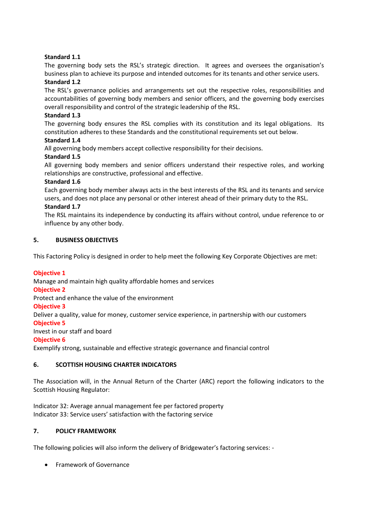# **Standard 1.1**

The governing body sets the RSL's strategic direction. It agrees and oversees the organisation's business plan to achieve its purpose and intended outcomes for its tenants and other service users.

# **Standard 1.2**

The RSL's governance policies and arrangements set out the respective roles, responsibilities and accountabilities of governing body members and senior officers, and the governing body exercises overall responsibility and control of the strategic leadership of the RSL.

# **Standard 1.3**

The governing body ensures the RSL complies with its constitution and its legal obligations. Its constitution adheres to these Standards and the constitutional requirements set out below.

### **Standard 1.4**

All governing body members accept collective responsibility for their decisions.

# **Standard 1.5**

All governing body members and senior officers understand their respective roles, and working relationships are constructive, professional and effective.

### **Standard 1.6**

Each governing body member always acts in the best interests of the RSL and its tenants and service users, and does not place any personal or other interest ahead of their primary duty to the RSL.

### **Standard 1.7**

The RSL maintains its independence by conducting its affairs without control, undue reference to or influence by any other body.

### **5. BUSINESS OBJECTIVES**

This Factoring Policy is designed in order to help meet the following Key Corporate Objectives are met:

# **Objective 1**

Manage and maintain high quality affordable homes and services

#### **Objective 2**

Protect and enhance the value of the environment

#### **Objective 3**

Deliver a quality, value for money, customer service experience, in partnership with our customers

# **Objective 5**

Invest in our staff and board

# **Objective 6**

Exemplify strong, sustainable and effective strategic governance and financial control

# **6. SCOTTISH HOUSING CHARTER INDICATORS**

The Association will, in the Annual Return of the Charter (ARC) report the following indicators to the Scottish Housing Regulator:

Indicator 32: Average annual management fee per factored property Indicator 33: Service users' satisfaction with the factoring service

# **7. POLICY FRAMEWORK**

The following policies will also inform the delivery of Bridgewater's factoring services: -

• Framework of Governance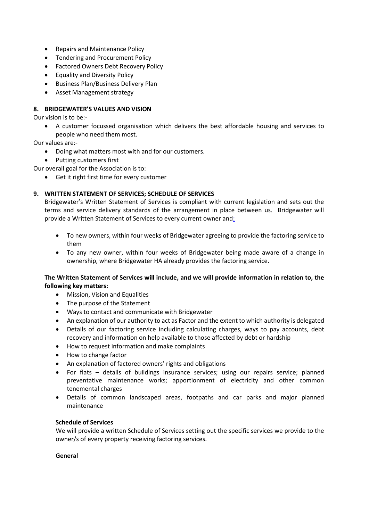- Repairs and Maintenance Policy
- Tendering and Procurement Policy
- **•** Factored Owners Debt Recovery Policy
- Equality and Diversity Policy
- Business Plan/Business Delivery Plan
- Asset Management strategy

### **8. BRIDGEWATER'S VALUES AND VISION**

Our vision is to be:-

 A customer focussed organisation which delivers the best affordable housing and services to people who need them most.

Our values are:-

- Doing what matters most with and for our customers.
- Putting customers first

Our overall goal for the Association is to:

Get it right first time for every customer

#### **9. WRITTEN STATEMENT OF SERVICES; SCHEDULE OF SERVICES**

Bridgewater's Written Statement of Services is compliant with current legislation and sets out the terms and service delivery standards of the arrangement in place between us. Bridgewater will provide a Written Statement of Services to every current owner and:

- To new owners, within four weeks of Bridgewater agreeing to provide the factoring service to them
- To any new owner, within four weeks of Bridgewater being made aware of a change in ownership, where Bridgewater HA already provides the factoring service.

### **The Written Statement of Services will include, and we will provide information in relation to, the following key matters:**

- Mission, Vision and Equalities
- The purpose of the Statement
- Ways to contact and communicate with Bridgewater
- An explanation of our authority to act as Factor and the extent to which authority is delegated
- Details of our factoring service including calculating charges, ways to pay accounts, debt recovery and information on help available to those affected by debt or hardship
- How to request information and make complaints
- How to change factor
- An explanation of factored owners' rights and obligations
- For flats details of buildings insurance services; using our repairs service; planned preventative maintenance works; apportionment of electricity and other common tenemental charges
- Details of common landscaped areas, footpaths and car parks and major planned maintenance

#### **Schedule of Services**

We will provide a written Schedule of Services setting out the specific services we provide to the owner/s of every property receiving factoring services.

#### **General**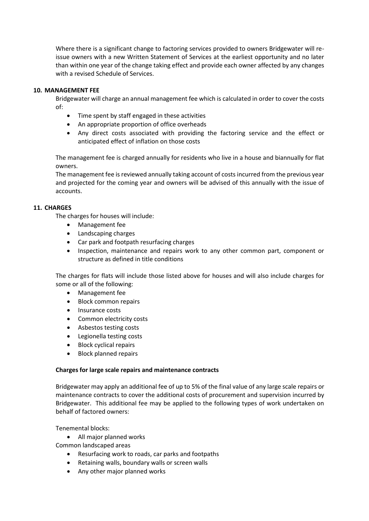Where there is a significant change to factoring services provided to owners Bridgewater will reissue owners with a new Written Statement of Services at the earliest opportunity and no later than within one year of the change taking effect and provide each owner affected by any changes with a revised Schedule of Services.

### **10. MANAGEMENT FEE**

Bridgewater will charge an annual management fee which is calculated in order to cover the costs of:

- Time spent by staff engaged in these activities
- An appropriate proportion of office overheads
- Any direct costs associated with providing the factoring service and the effect or anticipated effect of inflation on those costs

The management fee is charged annually for residents who live in a house and biannually for flat owners.

The management fee is reviewed annually taking account of costs incurred from the previous year and projected for the coming year and owners will be advised of this annually with the issue of accounts.

#### **11. CHARGES**

The charges for houses will include:

- Management fee
- Landscaping charges
- Car park and footpath resurfacing charges
- Inspection, maintenance and repairs work to any other common part, component or structure as defined in title conditions

The charges for flats will include those listed above for houses and will also include charges for some or all of the following:

- Management fee
- Block common repairs
- Insurance costs
- Common electricity costs
- Asbestos testing costs
- Legionella testing costs
- Block cyclical repairs
- Block planned repairs

#### **Charges for large scale repairs and maintenance contracts**

Bridgewater may apply an additional fee of up to 5% of the final value of any large scale repairs or maintenance contracts to cover the additional costs of procurement and supervision incurred by Bridgewater. This additional fee may be applied to the following types of work undertaken on behalf of factored owners:

Tenemental blocks:

All major planned works

Common landscaped areas

- Resurfacing work to roads, car parks and footpaths
- Retaining walls, boundary walls or screen walls
- Any other major planned works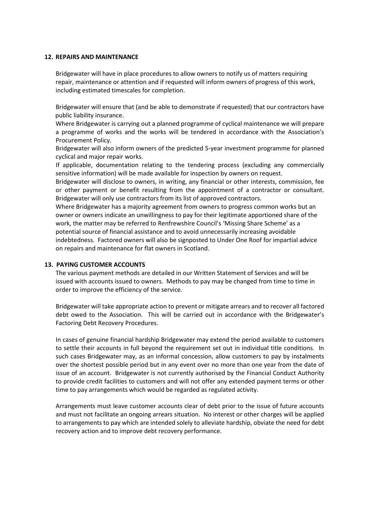#### **12. REPAIRS AND MAINTENANCE**

Bridgewater will have in place procedures to allow owners to notify us of matters requiring repair, maintenance or attention and if requested will inform owners of progress of this work, including estimated timescales for completion.

Bridgewater will ensure that (and be able to demonstrate if requested) that our contractors have public liability insurance.

Where Bridgewater is carrying out a planned programme of cyclical maintenance we will prepare a programme of works and the works will be tendered in accordance with the Association's Procurement Policy.

Bridgewater will also inform owners of the predicted 5-year investment programme for planned cyclical and major repair works.

If applicable, documentation relating to the tendering process (excluding any commercially sensitive information) will be made available for inspection by owners on request.

Bridgewater will disclose to owners, in writing, any financial or other interests, commission, fee or other payment or benefit resulting from the appointment of a contractor or consultant. Bridgewater will only use contractors from its list of approved contractors.

Where Bridgewater has a majority agreement from owners to progress common works but an owner or owners indicate an unwillingness to pay for their legitimate apportioned share of the work, the matter may be referred to Renfrewshire Council's 'Missing Share Scheme' as a potential source of financial assistance and to avoid unnecessarily increasing avoidable indebtedness. Factored owners will also be signposted to Under One Roof for impartial advice on repairs and maintenance for flat owners in Scotland.

# **13. PAYING CUSTOMER ACCOUNTS**

The various payment methods are detailed in our Written Statement of Services and will be issued with accounts issued to owners. Methods to pay may be changed from time to time in order to improve the efficiency of the service.

Bridgewater will take appropriate action to prevent or mitigate arrears and to recover all factored debt owed to the Association. This will be carried out in accordance with the Bridgewater's Factoring Debt Recovery Procedures.

In cases of genuine financial hardship Bridgewater may extend the period available to customers to settle their accounts in full beyond the requirement set out in individual title conditions. In such cases Bridgewater may, as an informal concession, allow customers to pay by instalments over the shortest possible period but in any event over no more than one year from the date of issue of an account. Bridgewater is not currently authorised by the Financial Conduct Authority to provide credit facilities to customers and will not offer any extended payment terms or other time to pay arrangements which would be regarded as regulated activity.

Arrangements must leave customer accounts clear of debt prior to the issue of future accounts and must not facilitate an ongoing arrears situation. No interest or other charges will be applied to arrangements to pay which are intended solely to alleviate hardship, obviate the need for debt recovery action and to improve debt recovery performance.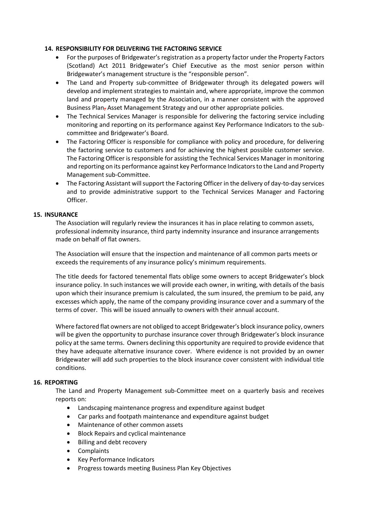### **14. RESPONSIBILITY FOR DELIVERING THE FACTORING SERVICE**

- For the purposes of Bridgewater's registration as a property factor under the Property Factors (Scotland) Act 2011 Bridgewater's Chief Executive as the most senior person within Bridgewater's management structure is the "responsible person".
- The Land and Property sub-committee of Bridgewater through its delegated powers will develop and implement strategies to maintain and, where appropriate, improve the common land and property managed by the Association, in a manner consistent with the approved Business Plan, Asset Management Strategy and our other appropriate policies.
- The Technical Services Manager is responsible for delivering the factoring service including monitoring and reporting on its performance against Key Performance Indicators to the subcommittee and Bridgewater's Board.
- The Factoring Officer is responsible for compliance with policy and procedure, for delivering the factoring service to customers and for achieving the highest possible customer service. The Factoring Officer is responsible for assisting the Technical Services Manager in monitoring and reporting on its performance against key Performance Indicators to the Land and Property Management sub-Committee.
- The Factoring Assistant will support the Factoring Officer in the delivery of day-to-day services and to provide administrative support to the Technical Services Manager and Factoring Officer.

### **15. INSURANCE**

The Association will regularly review the insurances it has in place relating to common assets, professional indemnity insurance, third party indemnity insurance and insurance arrangements made on behalf of flat owners.

The Association will ensure that the inspection and maintenance of all common parts meets or exceeds the requirements of any insurance policy's minimum requirements.

The title deeds for factored tenemental flats oblige some owners to accept Bridgewater's block insurance policy. In such instances we will provide each owner, in writing, with details of the basis upon which their insurance premium is calculated, the sum insured, the premium to be paid, any excesses which apply, the name of the company providing insurance cover and a summary of the terms of cover. This will be issued annually to owners with their annual account.

Where factored flat owners are not obliged to accept Bridgewater's block insurance policy, owners will be given the opportunity to purchase insurance cover through Bridgewater's block insurance policy at the same terms. Owners declining this opportunity are required to provide evidence that they have adequate alternative insurance cover. Where evidence is not provided by an owner Bridgewater will add such properties to the block insurance cover consistent with individual title conditions.

### **16. REPORTING**

The Land and Property Management sub-Committee meet on a quarterly basis and receives reports on:

- Landscaping maintenance progress and expenditure against budget
- Car parks and footpath maintenance and expenditure against budget
- Maintenance of other common assets
- Block Repairs and cyclical maintenance
- Billing and debt recovery
- Complaints
- Key Performance Indicators
- Progress towards meeting Business Plan Key Objectives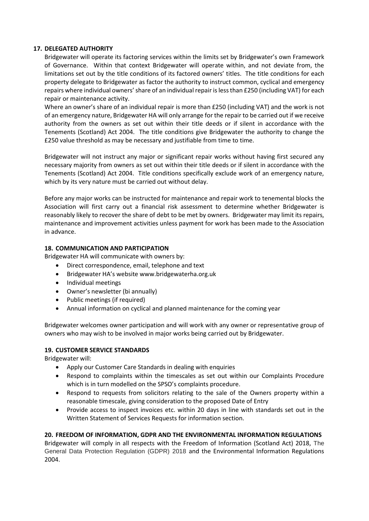### **17. DELEGATED AUTHORITY**

Bridgewater will operate its factoring services within the limits set by Bridgewater's own Framework of Governance. Within that context Bridgewater will operate within, and not deviate from, the limitations set out by the title conditions of its factored owners' titles. The title conditions for each property delegate to Bridgewater as factor the authority to instruct common, cyclical and emergency repairs where individual owners' share of an individual repair is less than £250 (including VAT) for each repair or maintenance activity.

Where an owner's share of an individual repair is more than £250 (including VAT) and the work is not of an emergency nature, Bridgewater HA will only arrange for the repair to be carried out if we receive authority from the owners as set out within their title deeds or if silent in accordance with the Tenements (Scotland) Act 2004. The title conditions give Bridgewater the authority to change the £250 value threshold as may be necessary and justifiable from time to time.

Bridgewater will not instruct any major or significant repair works without having first secured any necessary majority from owners as set out within their title deeds or if silent in accordance with the Tenements (Scotland) Act 2004. Title conditions specifically exclude work of an emergency nature, which by its very nature must be carried out without delay.

Before any major works can be instructed for maintenance and repair work to tenemental blocks the Association will first carry out a financial risk assessment to determine whether Bridgewater is reasonably likely to recover the share of debt to be met by owners. Bridgewater may limit its repairs, maintenance and improvement activities unless payment for work has been made to the Association in advance.

### **18. COMMUNICATION AND PARTICIPATION**

Bridgewater HA will communicate with owners by:

- Direct correspondence, email, telephone and text
- Bridgewater HA's website [www.bridgewaterha.org.uk](http://www.bridgewaterha.org.uk/)
- Individual meetings
- Owner's newsletter (bi annually)
- Public meetings (if required)
- Annual information on cyclical and planned maintenance for the coming year

Bridgewater welcomes owner participation and will work with any owner or representative group of owners who may wish to be involved in major works being carried out by Bridgewater.

#### **19. CUSTOMER SERVICE STANDARDS**

Bridgewater will:

- Apply our Customer Care Standards in dealing with enquiries
- Respond to complaints within the timescales as set out within our Complaints Procedure which is in turn modelled on the SPSO's complaints procedure.
- Respond to requests from solicitors relating to the sale of the Owners property within a reasonable timescale, giving consideration to the proposed Date of Entry
- Provide access to inspect invoices etc. within 20 days in line with standards set out in the Written Statement of Services Requests for information section.

#### **20. FREEDOM OF INFORMATION, GDPR AND THE ENVIRONMENTAL INFORMATION REGULATIONS**

Bridgewater will comply in all respects with the Freedom of Information (Scotland Act) 2018, The General Data Protection Regulation (GDPR) 2018 and the Environmental Information Regulations 2004.